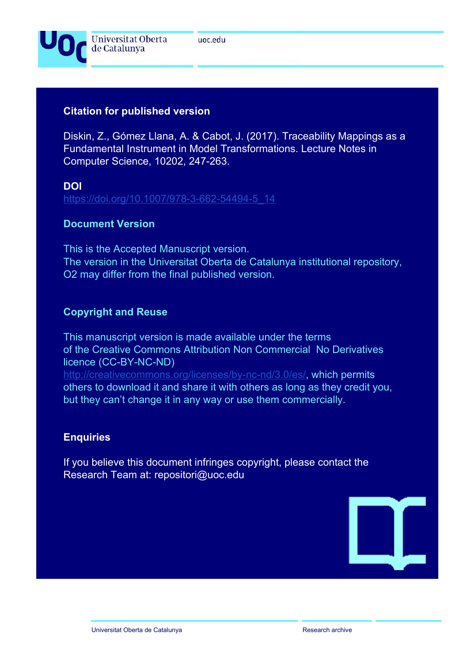

## **Citation for published version**

Diskin, Z., Gómez Llana, A. & Cabot, J. (2017). Traceability Mappings as a Fundamental Instrument in Model Transformations. Lecture Notes in Computer Science, 10202, 247-263.

## **DOI**

[https://doi.org/10.1007/978-3-662-54494-5\\_14](https://doi.org/10.1007/978-3-662-54494-5_14)

## **Document Version**

This is the Accepted Manuscript version. The version in the Universitat Oberta de Catalunya institutional repository, O2 may differ from the final published version.

## **Copyright and Reuse**

This manuscript version is made available under the terms of the Creative Commons Attribution Non Commercial No Derivatives licence (CC-BY-NC-ND) [http://creativecommons.org/licenses/by-nc-nd/3.0/es/,](http://creativecommons.org/licenses/by-nc-nd/3.0/es/) which permits others to download it and share it with others as long as they credit you, but they can't change it in any way or use them commercially.

## **Enquiries**

If you believe this document infringes copyright, please contact the Research Team at: repositori@uoc.edu

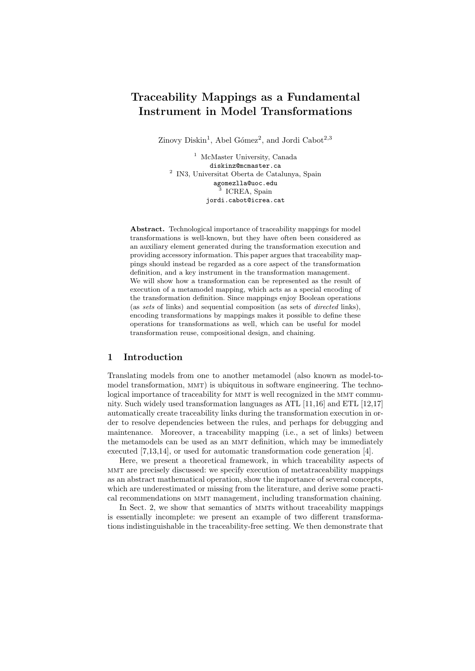# Traceability Mappings as a Fundamental Instrument in Model Transformations

 $\text{Zinovy Diskin}^1$ , Abel Gómez<sup>2</sup>, and Jordi Cabot<sup>2,3</sup>

<sup>1</sup> McMaster University, Canada diskinz@mcmaster.ca 2 IN3, Universitat Oberta de Catalunya, Spain agomezlla@uoc.edu 3 ICREA, Spain jordi.cabot@icrea.cat

Abstract. Technological importance of traceability mappings for model transformations is well-known, but they have often been considered as an auxiliary element generated during the transformation execution and providing accessory information. This paper argues that traceability mappings should instead be regarded as a core aspect of the transformation definition, and a key instrument in the transformation management. We will show how a transformation can be represented as the result of execution of a metamodel mapping, which acts as a special encoding of the transformation definition. Since mappings enjoy Boolean operations (as sets of links) and sequential composition (as sets of directed links), encoding transformations by mappings makes it possible to define these operations for transformations as well, which can be useful for model transformation reuse, compositional design, and chaining.

### 1 Introduction

Translating models from one to another metamodel (also known as model-tomodel transformation, MMT) is ubiquitous in software engineering. The technological importance of traceability for MMT is well recognized in the MMT community. Such widely used transformation languages as ATL [11,16] and ETL [12,17] automatically create traceability links during the transformation execution in order to resolve dependencies between the rules, and perhaps for debugging and maintenance. Moreover, a traceability mapping (i.e., a set of links) between the metamodels can be used as an mmt definition, which may be immediately executed [7,13,14], or used for automatic transformation code generation [4].

Here, we present a theoretical framework, in which traceability aspects of mmt are precisely discussed: we specify execution of metatraceability mappings as an abstract mathematical operation, show the importance of several concepts, which are underestimated or missing from the literature, and derive some practical recommendations on mmt management, including transformation chaining.

In Sect. 2, we show that semantics of MMTs without traceability mappings is essentially incomplete: we present an example of two different transformations indistinguishable in the traceability-free setting. We then demonstrate that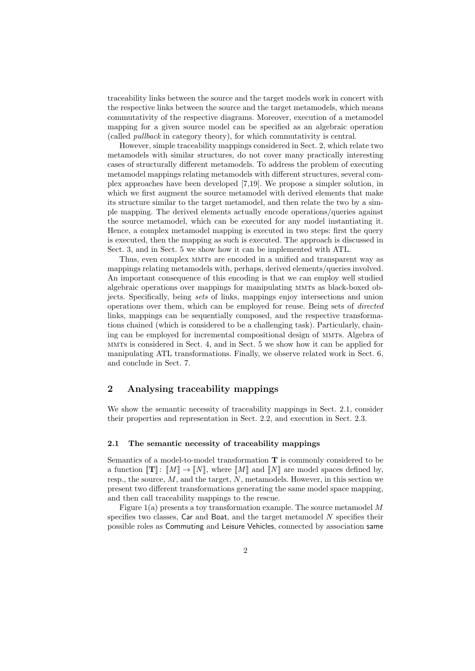traceability links between the source and the target models work in concert with the respective links between the source and the target metamodels, which means commutativity of the respective diagrams. Moreover, execution of a metamodel mapping for a given source model can be specified as an algebraic operation (called pullback in category theory), for which commutativity is central.

However, simple traceability mappings considered in Sect. 2, which relate two metamodels with similar structures, do not cover many practically interesting cases of structurally different metamodels. To address the problem of executing metamodel mappings relating metamodels with different structures, several complex approaches have been developed [7,19]. We propose a simpler solution, in which we first augment the source metamodel with derived elements that make its structure similar to the target metamodel, and then relate the two by a simple mapping. The derived elements actually encode operations/queries against the source metamodel, which can be executed for any model instantiating it. Hence, a complex metamodel mapping is executed in two steps: first the query is executed, then the mapping as such is executed. The approach is discussed in Sect. 3, and in Sect. 5 we show how it can be implemented with ATL.

Thus, even complex MMTs are encoded in a unified and transparent way as mappings relating metamodels with, perhaps, derived elements/queries involved. An important consequence of this encoding is that we can employ well studied algebraic operations over mappings for manipulating mmts as black-boxed objects. Specifically, being sets of links, mappings enjoy intersections and union operations over them, which can be employed for reuse. Being sets of directed links, mappings can be sequentially composed, and the respective transformations chained (which is considered to be a challenging task). Particularly, chaining can be employed for incremental compositional design of mmts. Algebra of mmts is considered in Sect. 4, and in Sect. 5 we show how it can be applied for manipulating ATL transformations. Finally, we observe related work in Sect. 6, and conclude in Sect. 7.

## 2 Analysing traceability mappings

We show the semantic necessity of traceability mappings in Sect. 2.1, consider their properties and representation in Sect. 2.2, and execution in Sect. 2.3.

#### 2.1 The semantic necessity of traceability mappings

Semantics of a model-to-model transformation T is commonly considered to be a function  $[\![\mathbf{T}]\!] : [\![M]\!] \to [\![N]\!]$ , where  $[\![M]\!]$  and  $[\![N]\!]$  are model spaces defined by, resp., the source,  $M$ , and the target,  $N$ , metamodels. However, in this section we present two different transformations generating the same model space mapping, and then call traceability mappings to the rescue.

Figure  $1(a)$  presents a toy transformation example. The source metamodel M specifies two classes,  $Car$  and Boat, and the target metamodel  $N$  specifies their possible roles as Commuting and Leisure Vehicles, connected by association same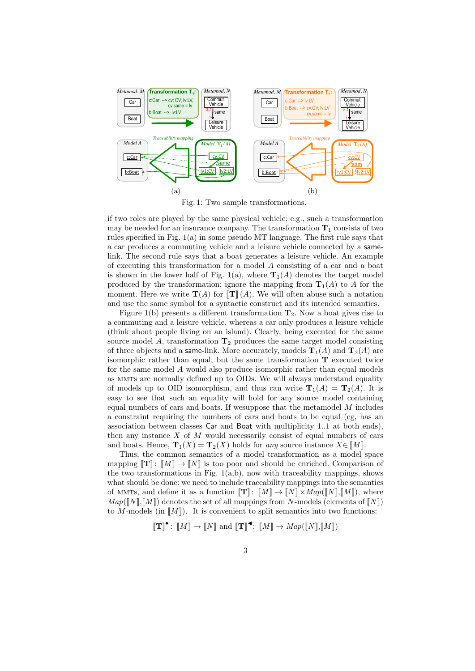

Fig. 1: Two sample transformations.

if two roles are played by the same physical vehicle; e.g., such a transformation may be needed for an insurance company. The transformation  $T_1$  consists of two rules specified in Fig. 1(a) in some pseudo MT language. The first rule says that a car produces a commuting vehicle and a leisure vehicle connected by a samelink. The second rule says that a boat generates a leisure vehicle. An example of executing this transformation for a model A consisting of a car and a boat is shown in the lower half of Fig. 1(a), where  $\mathbf{T}_1(A)$  denotes the target model produced by the transformation; ignore the mapping from  $\mathbf{T}_1(A)$  to A for the moment. Here we write  $T(A)$  for  $[T](A)$ . We will often abuse such a notation and use the same symbol for a syntactic construct and its intended semantics.

Figure 1(b) presents a different transformation  $T_2$ . Now a boat gives rise to a commuting and a leisure vehicle, whereas a car only produces a leisure vehicle (think about people living on an island). Clearly, being executed for the same source model  $A$ , transformation  $T_2$  produces the same target model consisting of three objects and a same-link. More accurately, models  $\mathbf{T}_1(A)$  and  $\mathbf{T}_2(A)$  are isomorphic rather than equal, but the same transformation  $T$  executed twice for the same model A would also produce isomorphic rather than equal models as mmts are normally defined up to OIDs. We will always understand equality of models up to OID isomorphism, and thus can write  $\mathbf{T}_1(A) = \mathbf{T}_2(A)$ . It is easy to see that such an equality will hold for any source model containing equal numbers of cars and boats. If we<br>suppose that the metamodel  $M$  includes a constraint requiring the numbers of cars and boats to be equal (eg, has an association between classes Car and Boat with multiplicity 1..1 at both ends), then any instance  $X$  of  $M$  would necessarily consist of equal numbers of cars and boats. Hence,  $\mathbf{T}_1(X) = \mathbf{T}_2(X)$  holds for any source instance  $X \in [M]$ .

Thus, the common semantics of a model transformation as a model space mapping  $\llbracket \mathbf{T} \rrbracket$ :  $\llbracket M \rrbracket \rightarrow \llbracket N \rrbracket$  is too poor and should be enriched. Comparison of the two transformations in Fig.  $1(a,b)$ , now with traceability mappings, shows what should be done: we need to include traceability mappings into the semantics of MMTs, and define it as a function  $\llbracket \mathbf{T} \rrbracket : \llbracket M \rrbracket \to \llbracket N \rrbracket \times Map(\llbracket N \rrbracket, \llbracket M \rrbracket)$ , where  $Map([N], [M])$  denotes the set of all mappings from N-models (elements of  $[N]$ ) to M-models (in  $[M]$ ). It is convenient to split semantics into two functions:

$$
\llbracket \mathbf{T} \rrbracket^\bullet \colon \, \llbracket M \rrbracket \to \llbracket N \rrbracket \text{ and } \llbracket \mathbf{T} \rrbracket^\blacktriangleleft \colon \, \llbracket M \rrbracket \to \mathit{Map}(\llbracket N \rrbracket, \llbracket M \rrbracket)
$$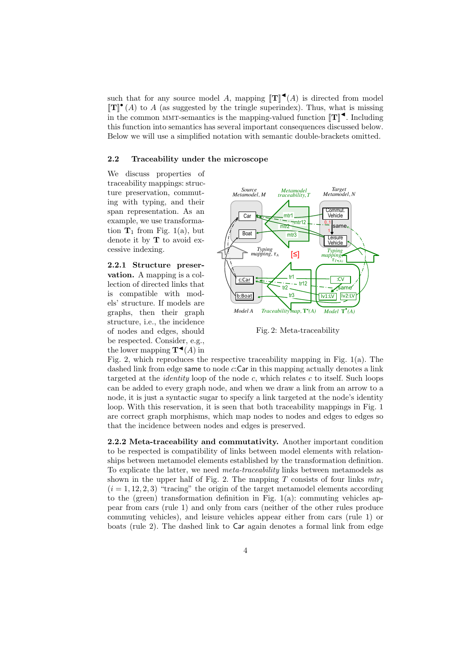such that for any source model A, mapping  $[\![\mathbf{T}]\!]^{\blacktriangleleft}(A)$  is directed from model  $\llbracket \mathbf{T} \rrbracket^{\bullet}(A)$  to A (as suggested by the tringle superindex). Thus, what is missing in the common MMT-semantics is the mapping-valued function  $[\![T]\!]^{\blacktriangleleft}$ . Including this function into semantics has several important consequences discussed below. Below we will use a simplified notation with semantic double-brackets omitted.

#### 2.2 Traceability under the microscope

We discuss properties of traceability mappings: structure preservation, commuting with typing, and their span representation. As an example, we use transformation  $T_1$  from Fig. 1(a), but denote it by  $T$  to avoid excessive indexing.

2.2.1 Structure preservation. A mapping is a collection of directed links that is compatible with models' structure. If models are graphs, then their graph structure, i.e., the incidence of nodes and edges, should be respected. Consider, e.g., the lower mapping  $\mathbf{T}^{\blacktriangleleft}(A)$  in



Fig. 2: Meta-traceability

Fig. 2, which reproduces the respective traceability mapping in Fig.  $1(a)$ . The dashed link from edge same to node  $c$ :Car in this mapping actually denotes a link targeted at the *identity* loop of the node  $c$ , which relates  $c$  to itself. Such loops can be added to every graph node, and when we draw a link from an arrow to a node, it is just a syntactic sugar to specify a link targeted at the node's identity loop. With this reservation, it is seen that both traceability mappings in Fig. 1 are correct graph morphisms, which map nodes to nodes and edges to edges so that the incidence between nodes and edges is preserved.

2.2.2 Meta-traceability and commutativity. Another important condition to be respected is compatibility of links between model elements with relationships between metamodel elements established by the transformation definition. To explicate the latter, we need *meta-traceability* links between metamodels as shown in the upper half of Fig. 2. The mapping  $T$  consists of four links  $mtr_i$  $(i = 1, 12, 2, 3)$  "tracing" the origin of the target metamodel elements according to the (green) transformation definition in Fig.  $1(a)$ : commuting vehicles appear from cars (rule 1) and only from cars (neither of the other rules produce commuting vehicles), and leisure vehicles appear either from cars (rule 1) or boats (rule 2). The dashed link to Car again denotes a formal link from edge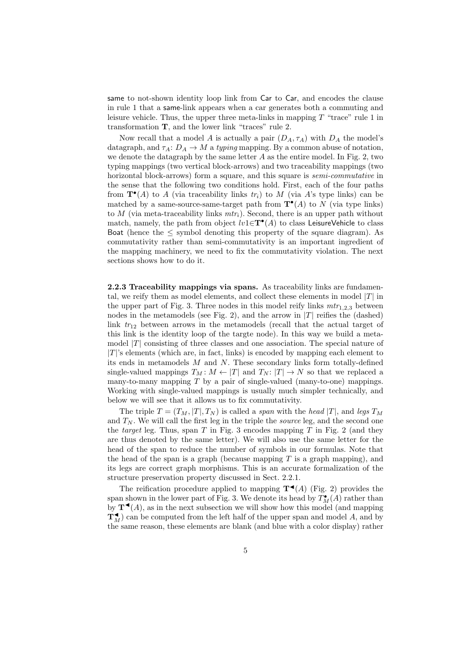same to not-shown identity loop link from Car to Car, and encodes the clause in rule 1 that a same-link appears when a car generates both a commuting and leisure vehicle. Thus, the upper three meta-links in mapping  $T$  "trace" rule 1 in transformation  $\mathbf T,$  and the lower link "traces" rule 2.

Now recall that a model A is actually a pair  $(D_A, \tau_A)$  with  $D_A$  the model's datagraph, and  $\tau_A: D_A \to M$  a typing mapping. By a common abuse of notation, we denote the datagraph by the same letter  $A$  as the entire model. In Fig. 2, two typing mappings (two vertical block-arrows) and two traceability mappings (two horizontal block-arrows) form a square, and this square is *semi-commutative* in the sense that the following two conditions hold. First, each of the four paths from  $\mathbf{T}^{\bullet}(A)$  to A (via traceability links  $tr_i$ ) to M (via A's type links) can be matched by a same-source-same-target path from  $\mathbf{T}^{\bullet}(A)$  to N (via type links) to  $M$  (via meta-traceability links  $mtr_i$ ). Second, there is an upper path without match, namely, the path from object  $lv1\in T^{\bullet}(A)$  to class LeisureVehicle to class Boat (hence the  $\leq$  symbol denoting this property of the square diagram). As commutativity rather than semi-commutativity is an important ingredient of the mapping machinery, we need to fix the commutativity violation. The next sections shows how to do it.

2.2.3 Traceability mappings via spans. As traceability links are fundamental, we reify them as model elements, and collect these elements in model  $|T|$  in the upper part of Fig. 3. Three nodes in this model reify links  $mtr_{1,2,3}$  between nodes in the metamodels (see Fig. 2), and the arrow in  $|T|$  reifies the (dashed) link  $tr_{12}$  between arrows in the metamodels (recall that the actual target of this link is the identity loop of the targte node). In this way we build a metamodel |T| consisting of three classes and one association. The special nature of  $|T|$ 's elements (which are, in fact, links) is encoded by mapping each element to its ends in metamodels  $M$  and  $N$ . These secondary links form totally-defined single-valued mappings  $T_M: M \leftarrow |T|$  and  $T_N: |T| \rightarrow N$  so that we replaced a many-to-many mapping  $T$  by a pair of single-valued (many-to-one) mappings. Working with single-valued mappings is usually much simpler technically, and below we will see that it allows us to fix commutativity.

The triple  $T = (T_M, |T|, T_N)$  is called a span with the head  $|T|$ , and legs  $T_M$ and  $T_N$ . We will call the first leg in the triple the *source* leg, and the second one the *target* leg. Thus, span  $T$  in Fig. 3 encodes mapping  $T$  in Fig. 2 (and they are thus denoted by the same letter). We will also use the same letter for the head of the span to reduce the number of symbols in our formulas. Note that the head of the span is a graph (because mapping  $T$  is a graph mapping), and its legs are correct graph morphisms. This is an accurate formalization of the structure preservation property discussed in Sect. 2.2.1.

The reification procedure applied to mapping  $\mathbf{T}^{\blacktriangleleft}(A)$  (Fig. 2) provides the span shown in the lower part of Fig. 3. We denote its head by  $T_M^{\bullet}(A)$  rather than by  $\mathbf{T}^{\blacktriangleleft}(A)$ , as in the next subsection we will show how this model (and mapping  $\mathbf{T}_{M}^{\blacktriangleleft}$  can be computed from the left half of the upper span and model A, and by the same reason, these elements are blank (and blue with a color display) rather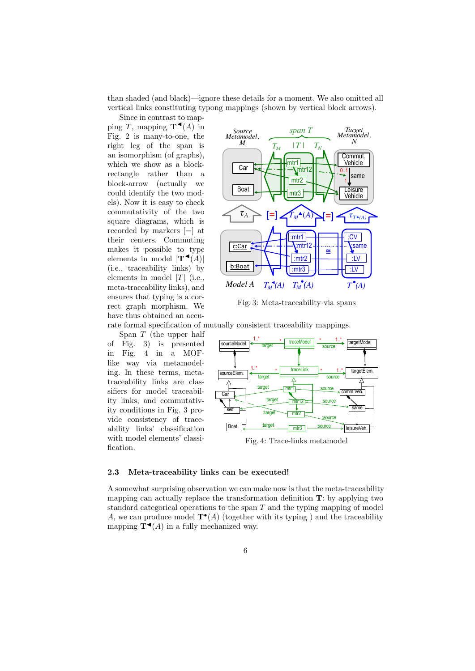than shaded (and black)—ignore these details for a moment. We also omitted all vertical links constituting typong mappings (shown by vertical block arrows).

Since in contrast to mapping T, mapping  $\mathbf{T}^{\blacktriangleleft}(A)$  in Fig. 2 is many-to-one, the right leg of the span is an isomorphism (of graphs), which we show as a blockrectangle rather than a block-arrow (actually we could identify the two models). Now it is easy to check commutativity of the two square diagrams, which is recorded by markers [=] at their centers. Commuting makes it possible to type elements in model  $|\mathbf{T}^{\blacktriangleleft}(A)|$ (i.e., traceability links) by elements in model  $|T|$  (i.e., meta-traceability links), and ensures that typing is a correct graph morphism. We have thus obtained an accu-



Fig. 3: Meta-traceability via spans

rate formal specification of mutually consistent traceability mappings.

Span  $T$  (the upper half of Fig. 3) is presented in Fig. 4 in a MOFlike way via metamodeling. In these terms, metatraceability links are classifiers for model traceability links, and commutativity conditions in Fig. 3 provide consistency of traceability links' classification with model elements' classification.



#### 2.3 Meta-traceability links can be executed!

A somewhat surprising observation we can make now is that the meta-traceability mapping can actually replace the transformation definition T: by applying two standard categorical operations to the span  $T$  and the typing mapping of model A, we can produce model  $\mathbf{T}^{\bullet}(A)$  (together with its typing) and the traceability mapping  $\mathbf{T}^{\blacktriangleleft}(A)$  in a fully mechanized way.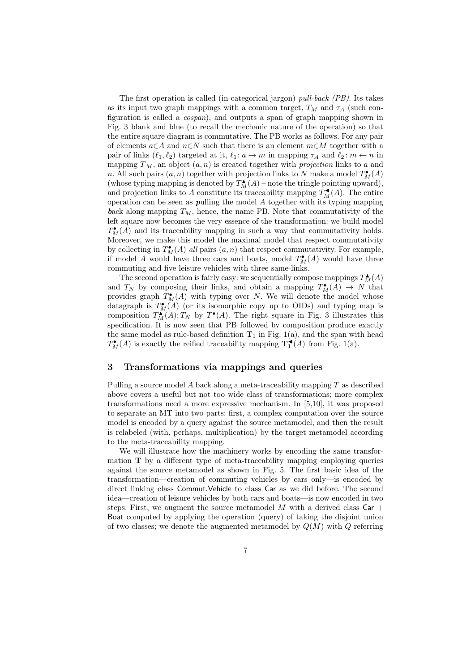The first operation is called (in categorical jargon) pull-back (PB). Its takes as its input two graph mappings with a common target,  $T_M$  and  $\tau_A$  (such configuration is called a cospan), and outputs a span of graph mapping shown in Fig. 3 blank and blue (to recall the mechanic nature of the operation) so that the entire square diagram is commutative. The PB works as follows. For any pair of elements  $a \in A$  and  $n \in N$  such that there is an element  $m \in M$  together with a pair of links  $(\ell_1, \ell_2)$  targeted at it,  $\ell_1: a \to m$  in mapping  $\tau_A$  and  $\ell_2: m \leftarrow n$  in mapping  $T_M$ , an object  $(a, n)$  is created together with *projection* links to a and n. All such pairs  $(a, n)$  together with projection links to N make a model  $T_M^{\bullet}(A)$ (whose typing mapping is denoted by  $T_M^{\blacktriangle}(A)$  – note the tringle pointing upward), and projection links to A constitute its traceability mapping  $T_M^{\blacktriangleleft}(A)$ . The entire operation can be seen as  $p$ ulling the model  $A$  together with its typing mapping back along mapping  $T_M$ , hence, the name PB. Note that commutativity of the left square now becomes the very essence of the transformation: we build model  $T_M^{\bullet}(A)$  and its traceability mapping in such a way that commutativity holds. Moreover, we make this model the maximal model that respect commutativity by collecting in  $T_M^{\bullet}(A)$  all pairs  $(a, n)$  that respect commutativity. For example, if model A would have three cars and boats, model  $T_M^{\bullet}(A)$  would have three commuting and five leisure vehicles with three same-links.

The second operation is fairly easy: we sequentially compose mappings  $T_M^{\blacktriangle}(A)$ and  $T_N$  by composing their links, and obtain a mapping  $T_M^{\bullet}(A) \to N$  that provides graph  $T_M^{\bullet}(A)$  with typing over N. We will denote the model whose datagraph is  $T_M^{\bullet}(A)$  (or its isomorphic copy up to OIDs) and typing map is composition  $T_M^{\mathbf{A}}(A);T_N$  by  $T^{\bullet}(A)$ . The right square in Fig. 3 illustrates this specification. It is now seen that PB followed by composition produce exactly the same model as rule-based definition  $T_1$  in Fig. 1(a), and the span with head  $T_M^{\bullet}(A)$  is exactly the reified traceability mapping  $\mathbf{T}_1^{\bullet}(A)$  from Fig. 1(a).

### 3 Transformations via mappings and queries

Pulling a source model  $A$  back along a meta-traceability mapping  $T$  as described above covers a useful but not too wide class of transformations; more complex transformations need a more expressive mechanism. In [5,10], it was proposed to separate an MT into two parts: first, a complex computation over the source model is encoded by a query against the source metamodel, and then the result is relabeled (with, perhaps, multiplication) by the target metamodel according to the meta-traceability mapping.

We will illustrate how the machinery works by encoding the same transformation  $\mathbf T$  by a different type of meta-traceability mapping employing queries against the source metamodel as shown in Fig. 5. The first basic idea of the transformation—creation of commuting vehicles by cars only—is encoded by direct linking class Commut.Vehicle to class Car as we did before. The second idea—creation of leisure vehicles by both cars and boats—is now encoded in two steps. First, we augment the source metamodel M with a derived class  $Car +$ Boat computed by applying the operation (query) of taking the disjoint union of two classes; we denote the augmented metamodel by  $Q(M)$  with  $Q$  referring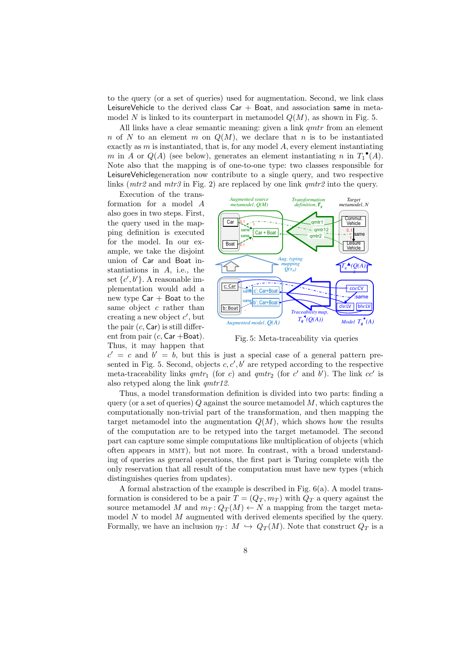to the query (or a set of queries) used for augmentation. Second, we link class LeisureVehicle to the derived class  $Car + Boat$ , and association same in metamodel N is linked to its counterpart in metamodel  $Q(M)$ , as shown in Fig. 5.

All links have a clear semantic meaning: given a link *qmtr* from an element n of N to an element m on  $Q(M)$ , we declare that n is to be instantiated exactly as  $m$  is instantiated, that is, for any model  $A$ , every element instantiating m in A or  $Q(A)$  (see below), generates an element instantiating n in  $T_1^{\bullet}(A)$ . Note also that the mapping is of one-to-one type: two classes responsible for LeisureVehiclegeneration now contribute to a single query, and two respective links ( $mtr2$  and  $mtr3$  in Fig. 2) are replaced by one link  $qmtr2$  into the query.

Execution of the transformation for a model A also goes in two steps. First, the query used in the mapping definition is executed for the model. In our example, we take the disjoint union of Car and Boat instantiations in  $A$ , i.e., the set  ${c', b'}.$  A reasonable implementation would add a new type  $Car +$  Boat to the same object  $c$  rather than creating a new object  $c'$ , but the pair  $(c, Car)$  is still different from pair  $(c, Car +Boat)$ . Thus, it may happen that



Fig. 5: Meta-traceability via queries

 $c' = c$  and  $b' = b$ , but this is just a special case of a general pattern presented in Fig. 5. Second, objects  $c, c', b'$  are retyped according to the respective meta-traceability links  $qmtr_1$  (for c) and  $qmtr_2$  (for c' and b'). The link cc' is also retyped along the link qmtr12.

Thus, a model transformation definition is divided into two parts: finding a query (or a set of queries)  $Q$  against the source metamodel  $M$ , which captures the computationally non-trivial part of the transformation, and then mapping the target metamodel into the augmentation  $Q(M)$ , which shows how the results of the computation are to be retyped into the target metamodel. The second part can capture some simple computations like multiplication of objects (which often appears in MMT), but not more. In contrast, with a broad understanding of queries as general operations, the first part is Turing complete with the only reservation that all result of the computation must have new types (which distinguishes queries from updates).

A formal abstraction of the example is described in Fig. 6(a). A model transformation is considered to be a pair  $T = (Q_T, m_T)$  with  $Q_T$  a query against the source metamodel M and  $m_T: Q_T(M) \leftarrow N$  a mapping from the target metamodel  $N$  to model  $M$  augmented with derived elements specified by the query. Formally, we have an inclusion  $\eta_T: M \hookrightarrow Q_T(M)$ . Note that construct  $Q_T$  is a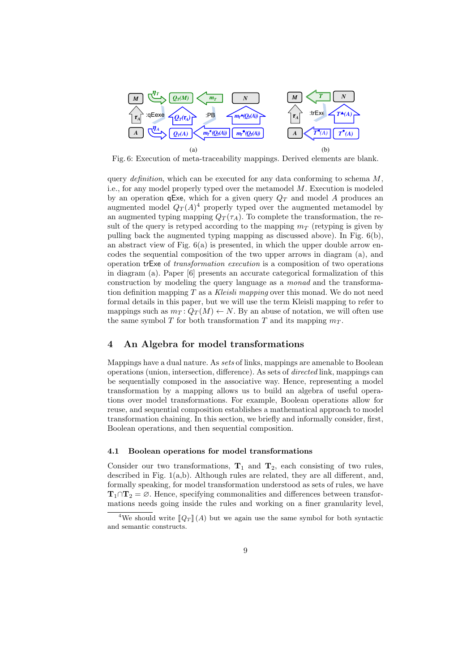

Fig. 6: Execution of meta-traceability mappings. Derived elements are blank.

query *definition*, which can be executed for any data conforming to schema  $M$ , i.e., for any model properly typed over the metamodel M. Execution is modeled by an operation  $qEx$ e, which for a given query  $Q_T$  and model A produces an augmented model  $Q_T(A)^4$  properly typed over the augmented metamodel by an augmented typing mapping  $Q_T(\tau_A)$ . To complete the transformation, the result of the query is retyped according to the mapping  $m<sub>T</sub>$  (retyping is given by pulling back the augmented typing mapping as discussed above). In Fig. 6(b), an abstract view of Fig.  $6(a)$  is presented, in which the upper double arrow encodes the sequential composition of the two upper arrows in diagram (a), and operation trExe of transformation execution is a composition of two operations in diagram (a). Paper [6] presents an accurate categorical formalization of this construction by modeling the query language as a monad and the transformation definition mapping  $T$  as a Kleisli mapping over this monad. We do not need formal details in this paper, but we will use the term Kleisli mapping to refer to mappings such as  $m_T: Q_T(M) \leftarrow N$ . By an abuse of notation, we will often use the same symbol  $T$  for both transformation  $T$  and its mapping  $m_T$ .

### 4 An Algebra for model transformations

Mappings have a dual nature. As sets of links, mappings are amenable to Boolean operations (union, intersection, difference). As sets of directed link, mappings can be sequentially composed in the associative way. Hence, representing a model transformation by a mapping allows us to build an algebra of useful operations over model transformations. For example, Boolean operations allow for reuse, and sequential composition establishes a mathematical approach to model transformation chaining. In this section, we briefly and informally consider, first, Boolean operations, and then sequential composition.

#### 4.1 Boolean operations for model transformations

Consider our two transformations,  $T_1$  and  $T_2$ , each consisting of two rules, described in Fig. 1(a,b). Although rules are related, they are all different, and, formally speaking, for model transformation understood as sets of rules, we have  $T_1 \cap T_2 = \emptyset$ . Hence, specifying commonalities and differences between transformations needs going inside the rules and working on a finer granularity level,

<sup>&</sup>lt;sup>4</sup>We should write  $\llbracket Q_T \rrbracket(A)$  but we again use the same symbol for both syntactic and semantic constructs.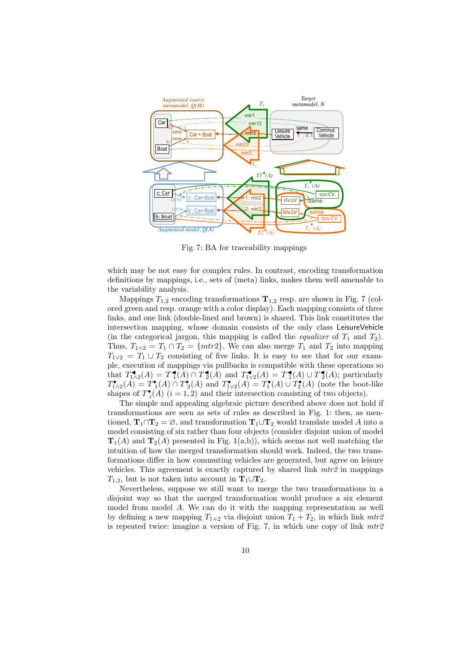

Fig. 7: BA for traceability mappings

which may be not easy for complex rules. In contrast, encoding transformation definitions by mappings, i.e., sets of (meta) links, makes them well amenable to the variability analysis.

Mappings  $T_{1,2}$  encoding transformations  $\mathbf{T}_{1,2}$  resp. are shown in Fig. 7 (colored green and resp. orange with a color display). Each mapping consists of three links, and one link (double-lined and brown) is shared. This link constitutes the intersection mapping, whose domain consists of the only class LeisureVehicle (in the categorical jargon, this mapping is called the *equalizer* of  $T_1$  and  $T_2$ ). Thus,  $T_{1\wedge2} = T_1 \cap T_2 = \{mtr2\}$ . We can also merge  $T_1$  and  $T_2$  into mapping  $T_{1\vee 2} = T_1 \cup T_2$  consisting of five links. It is easy to see that for our example, execution of mappings via pullbacks is compatible with these operations so that  $T_{1}^{\blacktriangleleft}$  $T_{1\wedge 2}^{\blacktriangleleft}(A) = T_{1}^{\blacktriangleleft}$  $\mathbf{I}(A) \cap T_2$  $T_2(A)$  and  $T_1$  $T_{1\vee2}^{\blacktriangleleft}(A) = T_{1}^{\blacktriangleleft}$  $\mathbf{I}(A) \cup T_2^{\blacktriangleleft}$  $\triangleleft(A)$ ; particularly  $T_{1\wedge2}^{\bullet}(A) = T_{1}^{\bullet}(A) \cap T_{2}^{\bullet}(A)$  and  $T_{1\vee2}^{\bullet}(A) = T_{1}^{\bullet}(A) \cup T_{2}^{\bullet}(A)$  (note the boot-like shapes of  $T^{\bullet}_{i}(A)$   $(i = 1, 2)$  and their intersection consisting of two objects).

The simple and appealing algebraic picture described above does not hold if transformations are seen as sets of rules as described in Fig. 1: then, as mentioned,  $T_1 \cap T_2 = \emptyset$ , and transformation  $T_1 \cup T_2$  would translate model A into a model consisting of six rather than four objects (consider disjoint union of model  $\mathbf{T}_1(A)$  and  $\mathbf{T}_2(A)$  presented in Fig. 1(a,b)), which seems not well matching the intuition of how the merged transformation should work. Indeed, the two transformations differ in how commuting vehicles are generated, but agree on leisure vehicles. This agreement is exactly captured by shared link  $mtr2$  in mappings  $T_{1,2}$ , but is not taken into account in  $\mathbf{T}_1 \cup \mathbf{T}_2$ .

Nevertheless, suppose we still want to merge the two transformations in a disjoint way so that the merged transformation would produce a six element model from model A. We can do it with the mapping representation as well by defining a new mapping  $T_{1+2}$  via disjoint union  $T_1 + T_2$ , in which link  $mtr2$ is repeated twice: imagine a version of Fig. 7, in which one copy of link mtr2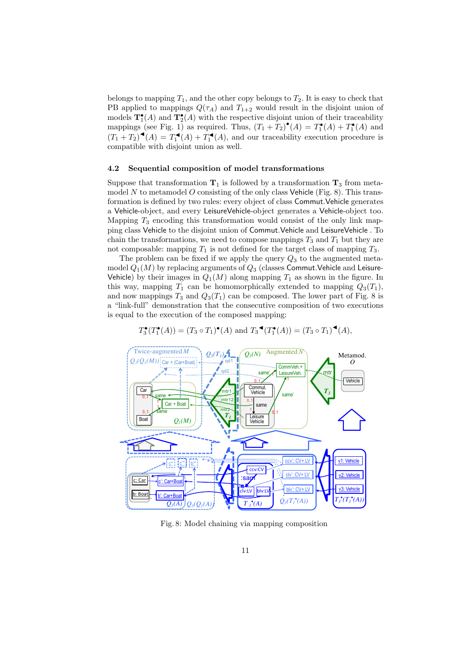belongs to mapping  $T_1$ , and the other copy belongs to  $T_2$ . It is easy to check that PB applied to mappings  $Q(\tau_A)$  and  $T_{1+2}$  would result in the disjoint union of models  $\mathbf{T}_1^{\bullet}(A)$  and  $\mathbf{T}_2^{\bullet}(A)$  with the respective disjoint union of their traceability mappings (see Fig. 1) as required. Thus,  $(T_1 + T_2)^{\bullet}(A) = T_1^{\bullet}(A) + T_1^{\bullet}(A)$  and  $(T_1 + T_2)^{\blacktriangleleft}(A) = T_1^{\blacktriangleleft}$  $T_1^{\blacktriangleleft}(A) + T_1^{\blacktriangleleft}$  $\mathbb{T}^{\blacktriangleleft}(A)$ , and our traceability execution procedure is compatible with disjoint union as well.

#### 4.2 Sequential composition of model transformations

Suppose that transformation  $T_1$  is followed by a transformation  $T_3$  from metamodel N to metamodel O consisting of the only class Vehicle (Fig. 8). This transformation is defined by two rules: every object of class Commut.Vehicle generates a Vehicle-object, and every LeisureVehicle-object generates a Vehicle-object too. Mapping  $T_3$  encoding this transformation would consist of the only link mapping class Vehicle to the disjoint union of Commut.Vehicle and LeisureVehicle . To chain the transformations, we need to compose mappings  $T_3$  and  $T_1$  but they are not composable: mapping  $T_1$  is not defined for the target class of mapping  $T_3$ .

The problem can be fixed if we apply the query  $Q_3$  to the augmented metamodel  $Q_1(M)$  by replacing arguments of  $Q_3$  (classes Commut.Vehicle and Leisure-Vehicle) by their images in  $Q_1(M)$  along mapping  $T_1$  as shown in the figure. In this way, mapping  $T_1$  can be homomorphically extended to mapping  $Q_3(T_1)$ , and now mappings  $T_3$  and  $Q_3(T_1)$  can be composed. The lower part of Fig. 8 is a "link-full" demonstration that the consecutive composition of two executions is equal to the execution of the composed mapping:

$$
T_3^{\bullet}(T_1^{\bullet}(A)) = (T_3 \circ T_1)^{\bullet}(A) \text{ and } T_3^{\bullet}(T_1^{\bullet}(A)) = (T_3 \circ T_1)^{\bullet}(A),
$$



Fig. 8: Model chaining via mapping composition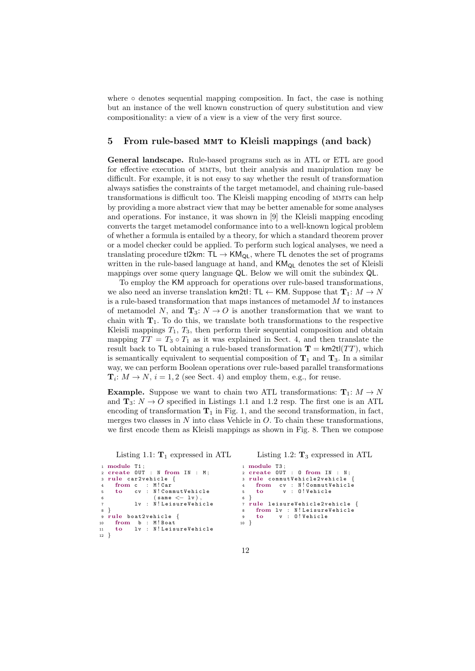where  $\circ$  denotes sequential mapping composition. In fact, the case is nothing but an instance of the well known construction of query substitution and view compositionality: a view of a view is a view of the very first source.

## 5 From rule-based mmt to Kleisli mappings (and back)

General landscape. Rule-based programs such as in ATL or ETL are good for effective execution of mmts, but their analysis and manipulation may be difficult. For example, it is not easy to say whether the result of transformation always satisfies the constraints of the target metamodel, and chaining rule-based transformations is difficult too. The Kleisli mapping encoding of mmts can help by providing a more abstract view that may be better amenable for some analyses and operations. For instance, it was shown in [9] the Kleisli mapping encoding converts the target metamodel conformance into to a well-known logical problem of whether a formula is entailed by a theory, for which a standard theorem prover or a model checker could be applied. To perform such logical analyses, we need a translating procedure tl2km:  $TL \rightarrow KM_{QL}$ , where TL denotes the set of programs written in the rule-based language at hand, and  $KM_{\text{OL}}$  denotes the set of Kleisli mappings over some query language QL. Below we will omit the subindex QL.

To employ the KM approach for operations over rule-based transformations, we also need an inverse translation km2tl: TL  $\leftarrow$  KM. Suppose that  $\mathbf{T}_1: M \rightarrow N$ is a rule-based transformation that maps instances of metamodel  $M$  to instances of metamodel N, and  $\mathbf{T}_3: N \to O$  is another transformation that we want to chain with  $T_1$ . To do this, we translate both transformations to the respective Kleisli mappings  $T_1, T_3$ , then perform their sequential composition and obtain mapping  $TT = T_3 \circ T_1$  as it was explained in Sect. 4, and then translate the result back to TL obtaining a rule-based transformation  $T = km2t/(TT)$ , which is semantically equivalent to sequential composition of  $T_1$  and  $T_3$ . In a similar way, we can perform Boolean operations over rule-based parallel transformations  $\mathbf{T}_i: M \to N, i = 1, 2$  (see Sect. 4) and employ them, e.g., for reuse.

**Example.** Suppose we want to chain two ATL transformations:  $\mathbf{T}_1: M \to N$ and  $\mathbf{T}_3: N \to O$  specified in Listings 1.1 and 1.2 resp. The first one is an ATL encoding of transformation  $T_1$  in Fig. 1, and the second transformation, in fact, merges two classes in  $N$  into class Vehicle in  $O$ . To chain these transformations, we first encode them as Kleisli mappings as shown in Fig. 8. Then we compose

Listing 1.1:  $T_1$  expressed in ATL

8 }

 $12 \frac{1}{2}$ 

```
Listing 1.2: T_3 expressed in ATL
```

```
1 module T1 ;
2 create 0UT : N from IN : M :
3 rule car2vehicle {
      from c : M! Car<br>to cy : N! Com
             cv : N ! Commut V e h i c l e
 6 ( s a m e <− lv ) ,
7 lv : N ! L e i s u r e V e h i c l e
   rule boat 2 vehicle {
10 from b : M!Boat
11 to lv : N! Leisure Vehicle
                                                       1 module T3 ;
                                                        2 \text{ create } 0 \text{UT} : 0 \text{ from } \text{IN} : \text{N};3 ru le c o m m u t V e h i c l e 2 v e h i c l e {
                                                        4 from cv : N!CommutVehicle<br>5 to v : 0!Vehicle
                                                                       v : O! Vehicle
                                                        6 }
                                                       - ,<br>7 rule leisureVehicle2vehicle {
                                                       8 from lv : N!LeisureVehicle<br>9 to v : O!Vehicle
                                                                     v : O! Vehicle
                                                       10 }
```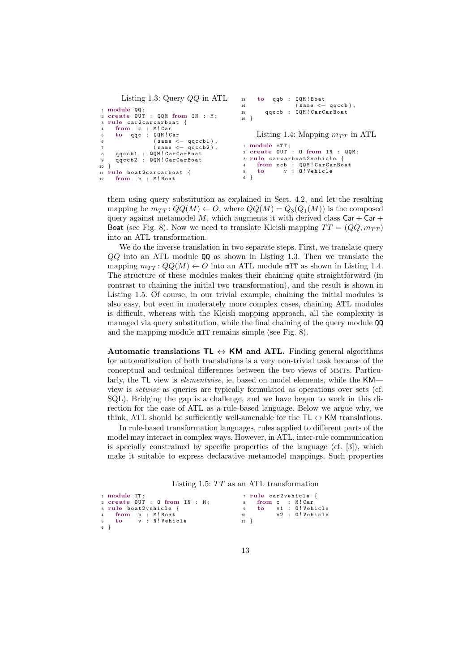```
Listing 1.3: Query QQ in ATL
1 module QQ ;
   create OUT : QQM from IN : M;
   rule car2carcarboat {
4 from c : M!Car
5 to qqc : QQM ! Car
\begin{array}{c} \text{6} \\ \text{6} \end{array} (same \langle -\text{ qqccb1} \rangle,
                    (same \langle qqccb2),
      qqccb1 : QQM ! CarCarBoat
9 q q c c b 2 : Q Q M ! C a r C a r B o a t
10 }
11 rule boat 2 carcarboat {<br>12 from b : M! Boat
     from b : M! Boat
                                                   13 to qqb : QQM!Boat
                                                   14 ( same \leftarrow qqccb ),<br>15 qqccb : QQM!CarCarBoat
                                                                      QQM ! CarCarBoat
                                                   16 }
                                                        Listing 1.4: Mapping m_{TT} in ATL
                                                   1 module mTT;
                                                   2 \text{ create } OUT : 0 \text{ from } IN : QQM;3 rule carcarboat 2 vehicle {
                                                    4 from ccb : QQM!CarCarBoat<br>5 to v : 0!Vehicle
                                                    5 to v : 0! Vehicle
                                                    6 }
```
them using query substitution as explained in Sect. 4.2, and let the resulting mapping be  $m_{TT}$ :  $QQ(M) \leftarrow O$ , where  $QQ(M) = Q_3(Q_1(M))$  is the composed query against metamodel M, which augments it with derived class  $Car + Car +$ Boat (see Fig. 8). Now we need to translate Kleisli mapping  $TT = (QQ, m_{TT})$ into an ATL transformation.

We do the inverse translation in two separate steps. First, we translate query  $QQ$  into an ATL module  $QQ$  as shown in Listing 1.3. Then we translate the mapping  $m_{TT}$ :  $QQ(M) \leftarrow O$  into an ATL module mTT as shown in Listing 1.4. The structure of these modules makes their chaining quite straightforward (in contrast to chaining the initial two transformation), and the result is shown in Listing 1.5. Of course, in our trivial example, chaining the initial modules is also easy, but even in moderately more complex cases, chaining ATL modules is difficult, whereas with the Kleisli mapping approach, all the complexity is managed via query substitution, while the final chaining of the query module QQ and the mapping module mTT remains simple (see Fig. 8).

Automatic translations  $TL \leftrightarrow KM$  and ATL. Finding general algorithms for automatization of both translations is a very non-trivial task because of the conceptual and technical differences between the two views of mmts. Particularly, the TL view is *elementwise*, ie, based on model elements, while the KM view is setwise as queries are typically formulated as operations over sets (cf. SQL). Bridging the gap is a challenge, and we have began to work in this direction for the case of ATL as a rule-based language. Below we argue why, we think, ATL should be sufficiently well-amenable for the  $TL \leftrightarrow KM$  translations.

In rule-based transformation languages, rules applied to different parts of the model may interact in complex ways. However, in ATL, inter-rule communication is specially constrained by specific properties of the language  $(cf. [3])$ , which make it suitable to express declarative metamodel mappings. Such properties

Listing 1.5:  $TT$  as an ATL transformation

```
1 module TT ;
2 \text{ create } OUT : 0 \text{ from } IN : M:
3 rule boat 2 vehicle {
4 from b: M!Boat<br>5 to v: N!Vehicle
6 }
                                                  7 rule car2vehicle {
                                                   8 from c : M!Car<br>9 to v1 : O!Vehicle
                                                  10 v2 : 0! Vehicle
                                                  11 }
```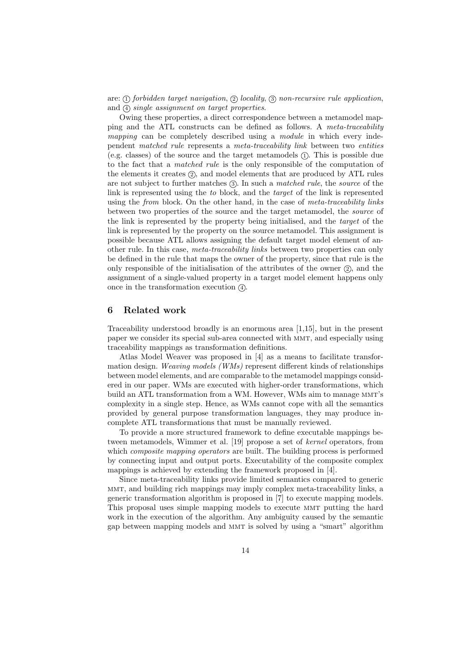are:  $(1)$  forbidden target navigation,  $(2)$  locality,  $(3)$  non-recursive rule application, and  $\overline{4}$  single assignment on target properties.

Owing these properties, a direct correspondence between a metamodel mapping and the ATL constructs can be defined as follows. A meta-traceability mapping can be completely described using a module in which every independent matched rule represents a meta-traceability link between two entities (e.g. classes) of the source and the target metamodels  $(1)$ . This is possible due to the fact that a matched rule is the only responsible of the computation of the elements it creates  $(2)$ , and model elements that are produced by ATL rules are not subject to further matches  $(3)$ . In such a matched rule, the source of the link is represented using the to block, and the target of the link is represented using the *from* block. On the other hand, in the case of *meta-traceability links* between two properties of the source and the target metamodel, the source of the link is represented by the property being initialised, and the target of the link is represented by the property on the source metamodel. This assignment is possible because ATL allows assigning the default target model element of another rule. In this case, meta-traceability links between two properties can only be defined in the rule that maps the owner of the property, since that rule is the only responsible of the initialisation of the attributes of the owner  $(2)$ , and the assignment of a single-valued property in a target model element happens only once in the transformation execution  $\overline{4}$ .

### 6 Related work

Traceability understood broadly is an enormous area [1,15], but in the present paper we consider its special sub-area connected with mmt, and especially using traceability mappings as transformation definitions.

Atlas Model Weaver was proposed in [4] as a means to facilitate transformation design. Weaving models (WMs) represent different kinds of relationships between model elements, and are comparable to the metamodel mappings considered in our paper. WMs are executed with higher-order transformations, which build an ATL transformation from a WM. However, WMs aim to manage MMT's complexity in a single step. Hence, as WMs cannot cope with all the semantics provided by general purpose transformation languages, they may produce incomplete ATL transformations that must be manually reviewed.

To provide a more structured framework to define executable mappings between metamodels, Wimmer et al. [19] propose a set of kernel operators, from which *composite mapping operators* are built. The building process is performed by connecting input and output ports. Executability of the composite complex mappings is achieved by extending the framework proposed in [4].

Since meta-traceability links provide limited semantics compared to generic mmt, and building rich mappings may imply complex meta-traceability links, a generic transformation algorithm is proposed in [7] to execute mapping models. This proposal uses simple mapping models to execute mmt putting the hard work in the execution of the algorithm. Any ambiguity caused by the semantic gap between mapping models and mmt is solved by using a "smart" algorithm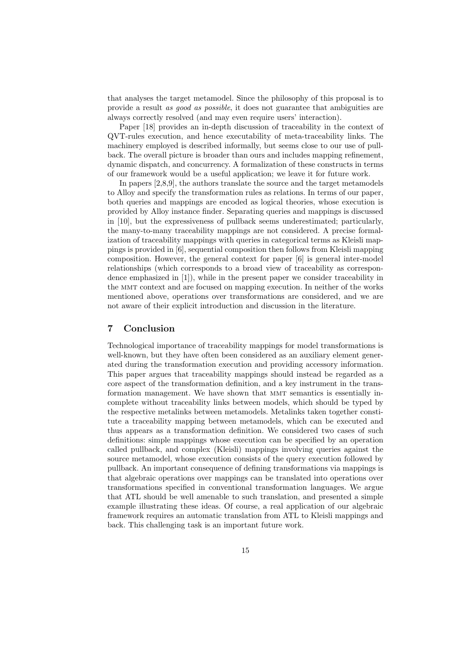that analyses the target metamodel. Since the philosophy of this proposal is to provide a result as good as possible, it does not guarantee that ambiguities are always correctly resolved (and may even require users' interaction).

Paper [18] provides an in-depth discussion of traceability in the context of QVT-rules execution, and hence executability of meta-traceability links. The machinery employed is described informally, but seems close to our use of pullback. The overall picture is broader than ours and includes mapping refinement, dynamic dispatch, and concurrency. A formalization of these constructs in terms of our framework would be a useful application; we leave it for future work.

In papers [2,8,9], the authors translate the source and the target metamodels to Alloy and specify the transformation rules as relations. In terms of our paper, both queries and mappings are encoded as logical theories, whose execution is provided by Alloy instance finder. Separating queries and mappings is discussed in [10], but the expressiveness of pullback seems underestimated; particularly, the many-to-many traceability mappings are not considered. A precise formalization of traceability mappings with queries in categorical terms as Kleisli mappings is provided in [6], sequential composition then follows from Kleisli mapping composition. However, the general context for paper [6] is general inter-model relationships (which corresponds to a broad view of traceability as correspondence emphasized in [1]), while in the present paper we consider traceability in the mmt context and are focused on mapping execution. In neither of the works mentioned above, operations over transformations are considered, and we are not aware of their explicit introduction and discussion in the literature.

### 7 Conclusion

Technological importance of traceability mappings for model transformations is well-known, but they have often been considered as an auxiliary element generated during the transformation execution and providing accessory information. This paper argues that traceability mappings should instead be regarded as a core aspect of the transformation definition, and a key instrument in the transformation management. We have shown that MMT semantics is essentially incomplete without traceability links between models, which should be typed by the respective metalinks between metamodels. Metalinks taken together constitute a traceability mapping between metamodels, which can be executed and thus appears as a transformation definition. We considered two cases of such definitions: simple mappings whose execution can be specified by an operation called pullback, and complex (Kleisli) mappings involving queries against the source metamodel, whose execution consists of the query execution followed by pullback. An important consequence of defining transformations via mappings is that algebraic operations over mappings can be translated into operations over transformations specified in conventional transformation languages. We argue that ATL should be well amenable to such translation, and presented a simple example illustrating these ideas. Of course, a real application of our algebraic framework requires an automatic translation from ATL to Kleisli mappings and back. This challenging task is an important future work.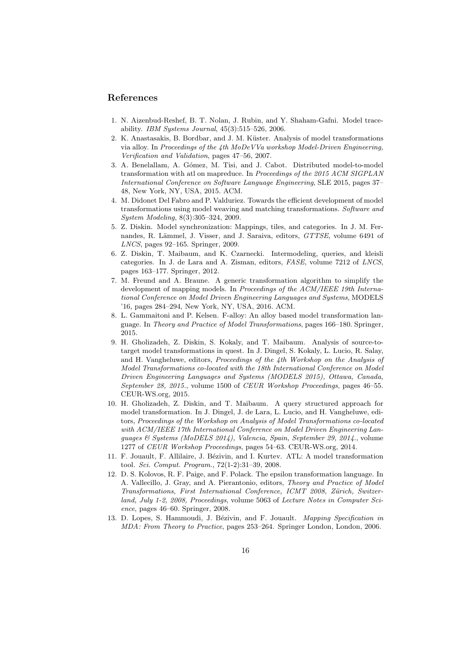### References

- 1. N. Aizenbud-Reshef, B. T. Nolan, J. Rubin, and Y. Shaham-Gafni. Model traceability. IBM Systems Journal, 45(3):515–526, 2006.
- 2. K. Anastasakis, B. Bordbar, and J. M. Küster. Analysis of model transformations via alloy. In Proceedings of the  $4th \text{ MoDeV}$ Va workshop Model-Driven Engineering, Verification and Validation, pages 47–56, 2007.
- 3. A. Benelallam, A. G´omez, M. Tisi, and J. Cabot. Distributed model-to-model transformation with atl on mapreduce. In Proceedings of the 2015 ACM SIGPLAN International Conference on Software Language Engineering, SLE 2015, pages 37– 48, New York, NY, USA, 2015. ACM.
- 4. M. Didonet Del Fabro and P. Valduriez. Towards the efficient development of model transformations using model weaving and matching transformations. Software and System Modeling, 8(3):305–324, 2009.
- 5. Z. Diskin. Model synchronization: Mappings, tiles, and categories. In J. M. Fernandes, R. Lämmel, J. Visser, and J. Saraiva, editors, GTTSE, volume 6491 of LNCS, pages 92–165. Springer, 2009.
- 6. Z. Diskin, T. Maibaum, and K. Czarnecki. Intermodeling, queries, and kleisli categories. In J. de Lara and A. Zisman, editors, FASE, volume 7212 of LNCS, pages 163–177. Springer, 2012.
- 7. M. Freund and A. Braune. A generic transformation algorithm to simplify the development of mapping models. In Proceedings of the ACM/IEEE 19th International Conference on Model Driven Engineering Languages and Systems, MODELS '16, pages 284–294, New York, NY, USA, 2016. ACM.
- 8. L. Gammaitoni and P. Kelsen. F-alloy: An alloy based model transformation language. In Theory and Practice of Model Transformations, pages 166–180. Springer, 2015.
- 9. H. Gholizadeh, Z. Diskin, S. Kokaly, and T. Maibaum. Analysis of source-totarget model transformations in quest. In J. Dingel, S. Kokaly, L. Lucio, R. Salay, and H. Vangheluwe, editors, Proceedings of the 4th Workshop on the Analysis of Model Transformations co-located with the 18th International Conference on Model Driven Engineering Languages and Systems (MODELS 2015), Ottawa, Canada, September 28, 2015., volume 1500 of CEUR Workshop Proceedings, pages 46–55. CEUR-WS.org, 2015.
- 10. H. Gholizadeh, Z. Diskin, and T. Maibaum. A query structured approach for model transformation. In J. Dingel, J. de Lara, L. Lucio, and H. Vangheluwe, editors, Proceedings of the Workshop on Analysis of Model Transformations co-located with ACM/IEEE 17th International Conference on Model Driven Engineering Languages & Systems (MoDELS 2014), Valencia, Spain, September 29, 2014., volume 1277 of CEUR Workshop Proceedings, pages 54–63. CEUR-WS.org, 2014.
- 11. F. Jouault, F. Allilaire, J. B´ezivin, and I. Kurtev. ATL: A model transformation tool. Sci. Comput. Program., 72(1-2):31–39, 2008.
- 12. D. S. Kolovos, R. F. Paige, and F. Polack. The epsilon transformation language. In A. Vallecillo, J. Gray, and A. Pierantonio, editors, Theory and Practice of Model Transformations, First International Conference, ICMT 2008, Zürich, Switzerland, July 1-2, 2008, Proceedings, volume 5063 of Lecture Notes in Computer Science, pages 46–60. Springer, 2008.
- 13. D. Lopes, S. Hammoudi, J. Bézivin, and F. Jouault. Mapping Specification in MDA: From Theory to Practice, pages 253–264. Springer London, London, 2006.